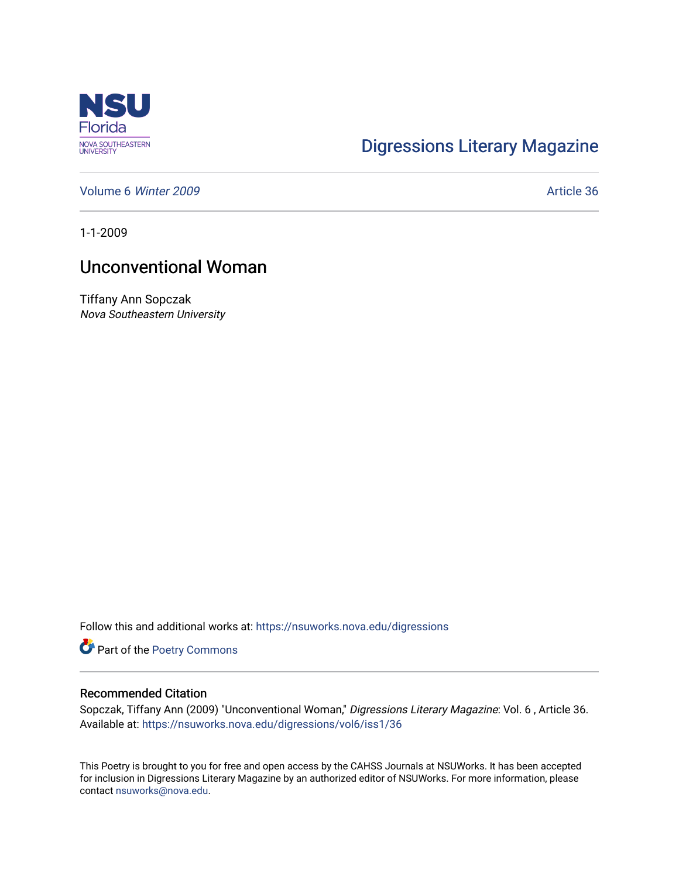

## [Digressions Literary Magazine](https://nsuworks.nova.edu/digressions)

[Volume 6](https://nsuworks.nova.edu/digressions/vol6) Winter 2009 **Article 36** Article 36

1-1-2009

## Unconventional Woman

Tiffany Ann Sopczak Nova Southeastern University

Follow this and additional works at: [https://nsuworks.nova.edu/digressions](https://nsuworks.nova.edu/digressions?utm_source=nsuworks.nova.edu%2Fdigressions%2Fvol6%2Fiss1%2F36&utm_medium=PDF&utm_campaign=PDFCoverPages) 

Part of the [Poetry Commons](http://network.bepress.com/hgg/discipline/1153?utm_source=nsuworks.nova.edu%2Fdigressions%2Fvol6%2Fiss1%2F36&utm_medium=PDF&utm_campaign=PDFCoverPages) 

## Recommended Citation

Sopczak, Tiffany Ann (2009) "Unconventional Woman," Digressions Literary Magazine: Vol. 6 , Article 36. Available at: [https://nsuworks.nova.edu/digressions/vol6/iss1/36](https://nsuworks.nova.edu/digressions/vol6/iss1/36?utm_source=nsuworks.nova.edu%2Fdigressions%2Fvol6%2Fiss1%2F36&utm_medium=PDF&utm_campaign=PDFCoverPages) 

This Poetry is brought to you for free and open access by the CAHSS Journals at NSUWorks. It has been accepted for inclusion in Digressions Literary Magazine by an authorized editor of NSUWorks. For more information, please contact [nsuworks@nova.edu.](mailto:nsuworks@nova.edu)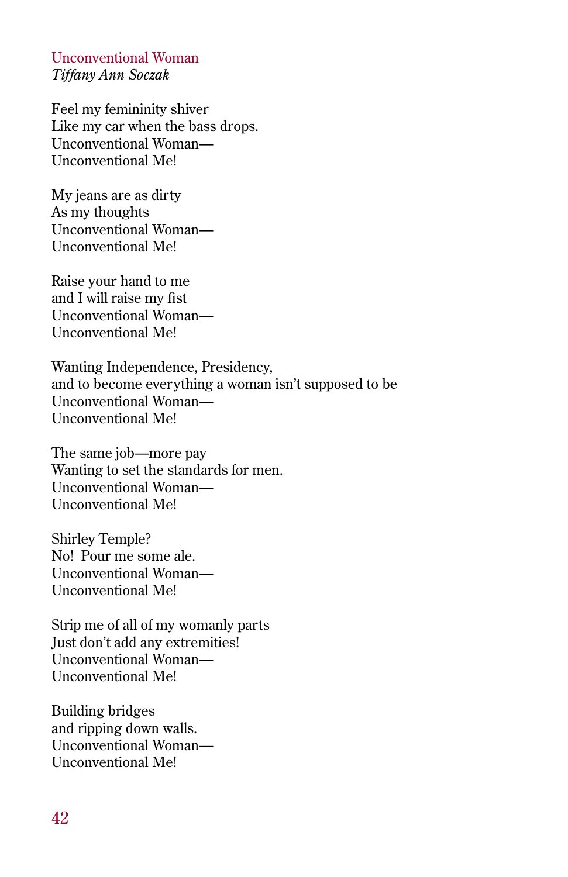Unconventional Woman *Tiffany Ann Soczak*

Feel my femininity shiver Like my car when the bass drops. Unconventional Woman— Unconventional Me!

My jeans are as dirty As my thoughts Unconventional Woman— Unconventional Me!

Raise your hand to me and I will raise my fist Unconventional Woman— Unconventional Me!

Wanting Independence, Presidency, and to become everything a woman isn't supposed to be Unconventional Woman— Unconventional Me!

The same job—more pay Wanting to set the standards for men. Unconventional Woman— Unconventional Me!

Shirley Temple? No! Pour me some ale. Unconventional Woman— Unconventional Me!

Strip me of all of my womanly parts Just don't add any extremities! Unconventional Woman— Unconventional Me!

Building bridges and ripping down walls. Unconventional Woman— Unconventional Me!